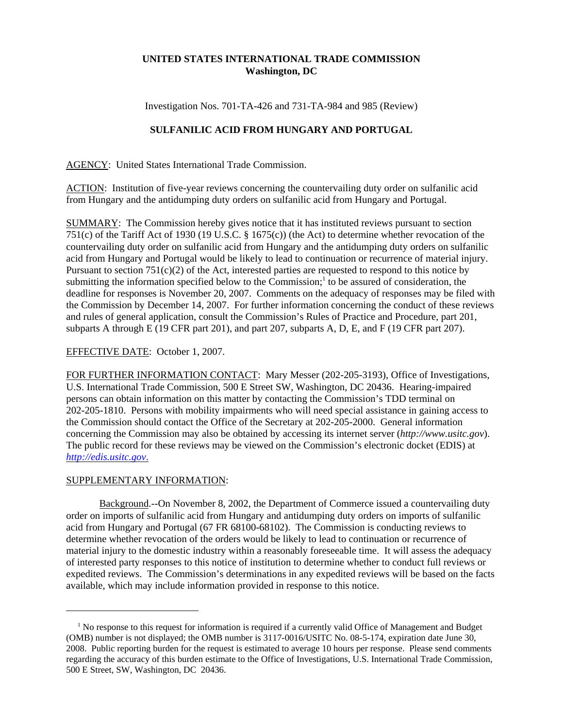## **UNITED STATES INTERNATIONAL TRADE COMMISSION Washington, DC**

Investigation Nos. 701-TA-426 and 731-TA-984 and 985 (Review)

## **SULFANILIC ACID FROM HUNGARY AND PORTUGAL**

AGENCY: United States International Trade Commission.

ACTION: Institution of five-year reviews concerning the countervailing duty order on sulfanilic acid from Hungary and the antidumping duty orders on sulfanilic acid from Hungary and Portugal.

SUMMARY: The Commission hereby gives notice that it has instituted reviews pursuant to section 751(c) of the Tariff Act of 1930 (19 U.S.C. § 1675(c)) (the Act) to determine whether revocation of the countervailing duty order on sulfanilic acid from Hungary and the antidumping duty orders on sulfanilic acid from Hungary and Portugal would be likely to lead to continuation or recurrence of material injury. Pursuant to section  $751(c)(2)$  of the Act, interested parties are requested to respond to this notice by submitting the information specified below to the Commission;<sup>1</sup> to be assured of consideration, the deadline for responses is November 20, 2007. Comments on the adequacy of responses may be filed with the Commission by December 14, 2007. For further information concerning the conduct of these reviews and rules of general application, consult the Commission's Rules of Practice and Procedure, part 201, subparts A through E (19 CFR part 201), and part 207, subparts A, D, E, and F (19 CFR part 207).

## EFFECTIVE DATE: October 1, 2007.

FOR FURTHER INFORMATION CONTACT: Mary Messer (202-205-3193), Office of Investigations, U.S. International Trade Commission, 500 E Street SW, Washington, DC 20436. Hearing-impaired persons can obtain information on this matter by contacting the Commission's TDD terminal on 202-205-1810. Persons with mobility impairments who will need special assistance in gaining access to the Commission should contact the Office of the Secretary at 202-205-2000. General information concerning the Commission may also be obtained by accessing its internet server (*http://www.usitc.gov*). The public record for these reviews may be viewed on the Commission's electronic docket (EDIS) at *http://edis.usitc.gov*.

## SUPPLEMENTARY INFORMATION:

Background.--On November 8, 2002, the Department of Commerce issued a countervailing duty order on imports of sulfanilic acid from Hungary and antidumping duty orders on imports of sulfanilic acid from Hungary and Portugal (67 FR 68100-68102). The Commission is conducting reviews to determine whether revocation of the orders would be likely to lead to continuation or recurrence of material injury to the domestic industry within a reasonably foreseeable time. It will assess the adequacy of interested party responses to this notice of institution to determine whether to conduct full reviews or expedited reviews. The Commission's determinations in any expedited reviews will be based on the facts available, which may include information provided in response to this notice.

<sup>&</sup>lt;sup>1</sup> No response to this request for information is required if a currently valid Office of Management and Budget (OMB) number is not displayed; the OMB number is 3117-0016/USITC No. 08-5-174, expiration date June 30, 2008. Public reporting burden for the request is estimated to average 10 hours per response. Please send comments regarding the accuracy of this burden estimate to the Office of Investigations, U.S. International Trade Commission, 500 E Street, SW, Washington, DC 20436.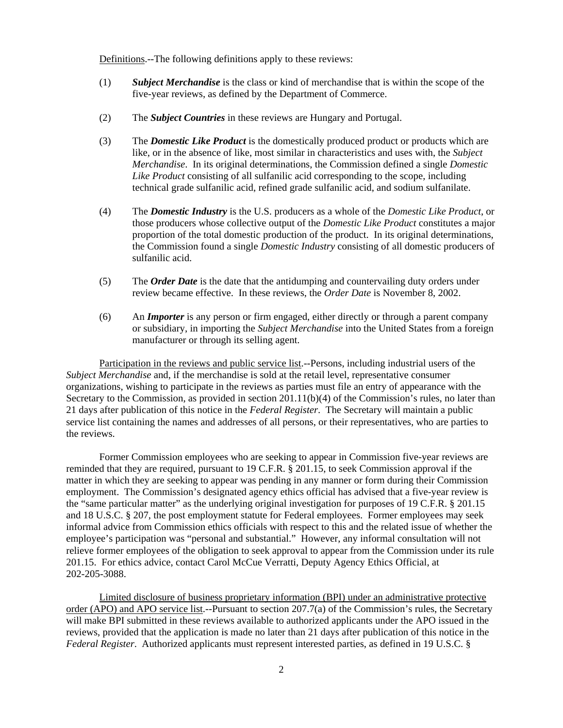Definitions.--The following definitions apply to these reviews:

- (1) *Subject Merchandise* is the class or kind of merchandise that is within the scope of the five-year reviews, as defined by the Department of Commerce.
- (2) The *Subject Countries* in these reviews are Hungary and Portugal.
- (3) The *Domestic Like Product* is the domestically produced product or products which are like, or in the absence of like, most similar in characteristics and uses with, the *Subject Merchandise*. In its original determinations, the Commission defined a single *Domestic Like Product* consisting of all sulfanilic acid corresponding to the scope, including technical grade sulfanilic acid, refined grade sulfanilic acid, and sodium sulfanilate.
- (4) The *Domestic Industry* is the U.S. producers as a whole of the *Domestic Like Product*, or those producers whose collective output of the *Domestic Like Product* constitutes a major proportion of the total domestic production of the product. In its original determinations, the Commission found a single *Domestic Industry* consisting of all domestic producers of sulfanilic acid.
- (5) The *Order Date* is the date that the antidumping and countervailing duty orders under review became effective. In these reviews, the *Order Date* is November 8, 2002.
- (6) An *Importer* is any person or firm engaged, either directly or through a parent company or subsidiary, in importing the *Subject Merchandise* into the United States from a foreign manufacturer or through its selling agent.

Participation in the reviews and public service list.--Persons, including industrial users of the *Subject Merchandise* and, if the merchandise is sold at the retail level, representative consumer organizations, wishing to participate in the reviews as parties must file an entry of appearance with the Secretary to the Commission, as provided in section 201.11(b)(4) of the Commission's rules, no later than 21 days after publication of this notice in the *Federal Register*. The Secretary will maintain a public service list containing the names and addresses of all persons, or their representatives, who are parties to the reviews.

Former Commission employees who are seeking to appear in Commission five-year reviews are reminded that they are required, pursuant to 19 C.F.R. § 201.15, to seek Commission approval if the matter in which they are seeking to appear was pending in any manner or form during their Commission employment. The Commission's designated agency ethics official has advised that a five-year review is the "same particular matter" as the underlying original investigation for purposes of 19 C.F.R. § 201.15 and 18 U.S.C. § 207, the post employment statute for Federal employees. Former employees may seek informal advice from Commission ethics officials with respect to this and the related issue of whether the employee's participation was "personal and substantial." However, any informal consultation will not relieve former employees of the obligation to seek approval to appear from the Commission under its rule 201.15. For ethics advice, contact Carol McCue Verratti, Deputy Agency Ethics Official, at 202-205-3088.

Limited disclosure of business proprietary information (BPI) under an administrative protective order (APO) and APO service list.--Pursuant to section 207.7(a) of the Commission's rules, the Secretary will make BPI submitted in these reviews available to authorized applicants under the APO issued in the reviews, provided that the application is made no later than 21 days after publication of this notice in the *Federal Register*. Authorized applicants must represent interested parties, as defined in 19 U.S.C. §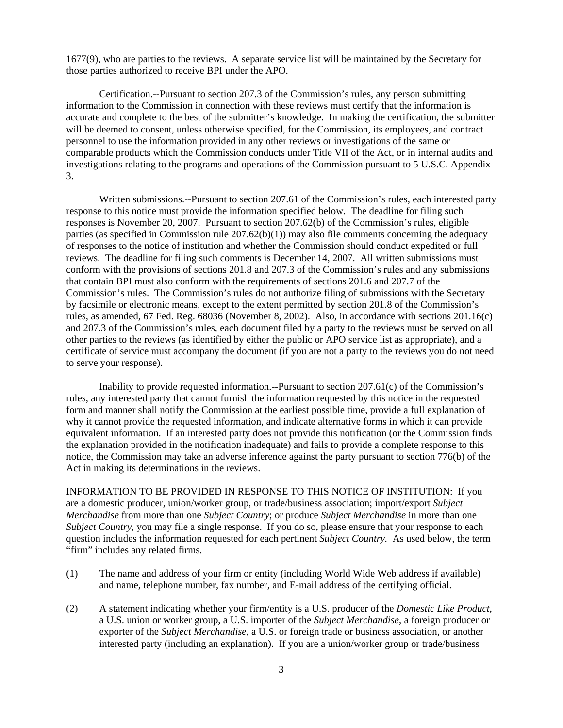1677(9), who are parties to the reviews. A separate service list will be maintained by the Secretary for those parties authorized to receive BPI under the APO.

Certification.--Pursuant to section 207.3 of the Commission's rules, any person submitting information to the Commission in connection with these reviews must certify that the information is accurate and complete to the best of the submitter's knowledge. In making the certification, the submitter will be deemed to consent, unless otherwise specified, for the Commission, its employees, and contract personnel to use the information provided in any other reviews or investigations of the same or comparable products which the Commission conducts under Title VII of the Act, or in internal audits and investigations relating to the programs and operations of the Commission pursuant to 5 U.S.C. Appendix 3.

Written submissions.--Pursuant to section 207.61 of the Commission's rules, each interested party response to this notice must provide the information specified below. The deadline for filing such responses is November 20, 2007. Pursuant to section 207.62(b) of the Commission's rules, eligible parties (as specified in Commission rule  $207.62(b)(1)$ ) may also file comments concerning the adequacy of responses to the notice of institution and whether the Commission should conduct expedited or full reviews. The deadline for filing such comments is December 14, 2007. All written submissions must conform with the provisions of sections 201.8 and 207.3 of the Commission's rules and any submissions that contain BPI must also conform with the requirements of sections 201.6 and 207.7 of the Commission's rules. The Commission's rules do not authorize filing of submissions with the Secretary by facsimile or electronic means, except to the extent permitted by section 201.8 of the Commission's rules, as amended, 67 Fed. Reg. 68036 (November 8, 2002). Also, in accordance with sections 201.16(c) and 207.3 of the Commission's rules, each document filed by a party to the reviews must be served on all other parties to the reviews (as identified by either the public or APO service list as appropriate), and a certificate of service must accompany the document (if you are not a party to the reviews you do not need to serve your response).

Inability to provide requested information.--Pursuant to section 207.61(c) of the Commission's rules, any interested party that cannot furnish the information requested by this notice in the requested form and manner shall notify the Commission at the earliest possible time, provide a full explanation of why it cannot provide the requested information, and indicate alternative forms in which it can provide equivalent information. If an interested party does not provide this notification (or the Commission finds the explanation provided in the notification inadequate) and fails to provide a complete response to this notice, the Commission may take an adverse inference against the party pursuant to section 776(b) of the Act in making its determinations in the reviews.

INFORMATION TO BE PROVIDED IN RESPONSE TO THIS NOTICE OF INSTITUTION: If you are a domestic producer, union/worker group, or trade/business association; import/export *Subject Merchandise* from more than one *Subject Country*; or produce *Subject Merchandise* in more than one *Subject Country*, you may file a single response. If you do so, please ensure that your response to each question includes the information requested for each pertinent *Subject Country.* As used below, the term "firm" includes any related firms.

- (1) The name and address of your firm or entity (including World Wide Web address if available) and name, telephone number, fax number, and E-mail address of the certifying official.
- (2) A statement indicating whether your firm/entity is a U.S. producer of the *Domestic Like Product*, a U.S. union or worker group, a U.S. importer of the *Subject Merchandise*, a foreign producer or exporter of the *Subject Merchandise*, a U.S. or foreign trade or business association, or another interested party (including an explanation). If you are a union/worker group or trade/business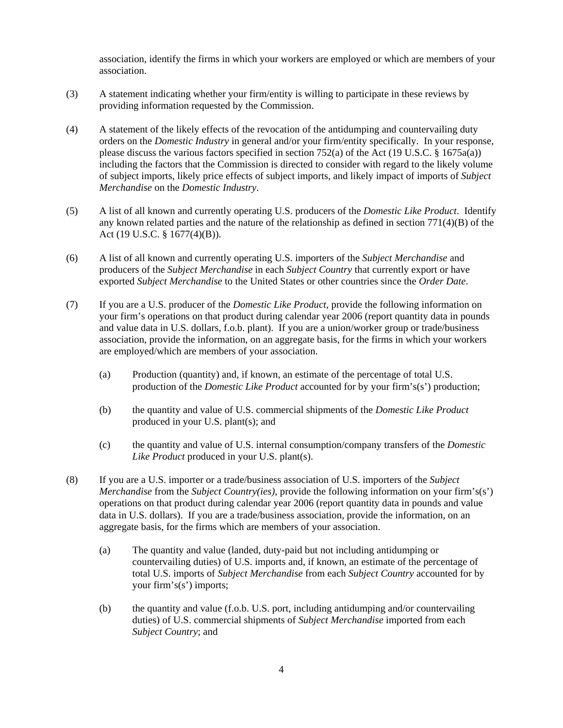association, identify the firms in which your workers are employed or which are members of your association.

- (3) A statement indicating whether your firm/entity is willing to participate in these reviews by providing information requested by the Commission.
- (4) A statement of the likely effects of the revocation of the antidumping and countervailing duty orders on the *Domestic Industry* in general and/or your firm/entity specifically. In your response, please discuss the various factors specified in section 752(a) of the Act (19 U.S.C. § 1675a(a)) including the factors that the Commission is directed to consider with regard to the likely volume of subject imports, likely price effects of subject imports, and likely impact of imports of *Subject Merchandise* on the *Domestic Industry*.
- (5) A list of all known and currently operating U.S. producers of the *Domestic Like Product*. Identify any known related parties and the nature of the relationship as defined in section 771(4)(B) of the Act (19 U.S.C. § 1677(4)(B)).
- (6) A list of all known and currently operating U.S. importers of the *Subject Merchandise* and producers of the *Subject Merchandise* in each *Subject Country* that currently export or have exported *Subject Merchandise* to the United States or other countries since the *Order Date*.
- (7) If you are a U.S. producer of the *Domestic Like Product*, provide the following information on your firm's operations on that product during calendar year 2006 (report quantity data in pounds and value data in U.S. dollars, f.o.b. plant). If you are a union/worker group or trade/business association, provide the information, on an aggregate basis, for the firms in which your workers are employed/which are members of your association.
	- (a) Production (quantity) and, if known, an estimate of the percentage of total U.S. production of the *Domestic Like Product* accounted for by your firm's(s') production;
	- (b) the quantity and value of U.S. commercial shipments of the *Domestic Like Product* produced in your U.S. plant(s); and
	- (c) the quantity and value of U.S. internal consumption/company transfers of the *Domestic Like Product* produced in your U.S. plant(s).
- (8) If you are a U.S. importer or a trade/business association of U.S. importers of the *Subject Merchandise* from the *Subject Country(ies)*, provide the following information on your firm's(s') operations on that product during calendar year 2006 (report quantity data in pounds and value data in U.S. dollars). If you are a trade/business association, provide the information, on an aggregate basis, for the firms which are members of your association.
	- (a) The quantity and value (landed, duty-paid but not including antidumping or countervailing duties) of U.S. imports and, if known, an estimate of the percentage of total U.S. imports of *Subject Merchandise* from each *Subject Country* accounted for by your firm's(s') imports;
	- (b) the quantity and value (f.o.b. U.S. port, including antidumping and/or countervailing duties) of U.S. commercial shipments of *Subject Merchandise* imported from each *Subject Country*; and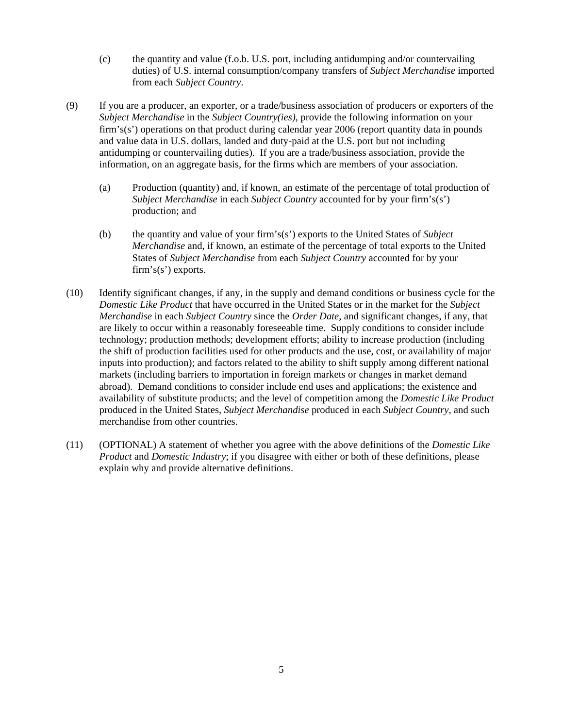- (c) the quantity and value (f.o.b. U.S. port, including antidumping and/or countervailing duties) of U.S. internal consumption/company transfers of *Subject Merchandise* imported from each *Subject Country*.
- (9) If you are a producer, an exporter, or a trade/business association of producers or exporters of the *Subject Merchandise* in the *Subject Country(ies)*, provide the following information on your firm's(s') operations on that product during calendar year 2006 (report quantity data in pounds and value data in U.S. dollars, landed and duty-paid at the U.S. port but not including antidumping or countervailing duties). If you are a trade/business association, provide the information, on an aggregate basis, for the firms which are members of your association.
	- (a) Production (quantity) and, if known, an estimate of the percentage of total production of *Subject Merchandise* in each *Subject Country* accounted for by your firm's(s') production; and
	- (b) the quantity and value of your firm's(s') exports to the United States of *Subject Merchandise* and, if known, an estimate of the percentage of total exports to the United States of *Subject Merchandise* from each *Subject Country* accounted for by your firm's(s') exports.
- (10) Identify significant changes, if any, in the supply and demand conditions or business cycle for the *Domestic Like Product* that have occurred in the United States or in the market for the *Subject Merchandise* in each *Subject Country* since the *Order Date*, and significant changes, if any, that are likely to occur within a reasonably foreseeable time. Supply conditions to consider include technology; production methods; development efforts; ability to increase production (including the shift of production facilities used for other products and the use, cost, or availability of major inputs into production); and factors related to the ability to shift supply among different national markets (including barriers to importation in foreign markets or changes in market demand abroad). Demand conditions to consider include end uses and applications; the existence and availability of substitute products; and the level of competition among the *Domestic Like Product* produced in the United States, *Subject Merchandise* produced in each *Subject Country*, and such merchandise from other countries.
- (11) (OPTIONAL) A statement of whether you agree with the above definitions of the *Domestic Like Product* and *Domestic Industry*; if you disagree with either or both of these definitions, please explain why and provide alternative definitions.